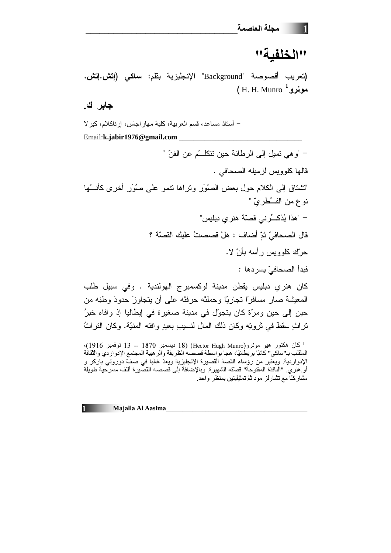## "الخلفية"

(تعريب أقصوصة "Background" الإنجليزية بقلم: **ساكي (إتش.إتش.**  $(H. H. Munro$  مونر و

جابر ك.

– أستاذ مساعد، قسم العربية، كلية مهار اجاس، إرناكلام، كير لا Email:k.jabir1976@gmail.com – "و هي نميل إلى الر طانة حين نتكلـــّم عن الفنّ " قالها كلوويس لزميله الصحافي . "تشتاق إلى الكلام حول بعض الصُوَر وتراها نتمو على صُوَرٍ أخرى كأنسّها نوع من الفـــُطريّ " – "هذا يُذكـــرْني قصنّة هنري دِبليس" قال الصحافيّ ثمّ أضاف : هلْ قصصتُ عليك القصنّة ؟ حرك كلوويس رأسه بأنْ لا. فبدأ الصحافيّ يسردها : كان هنري دبليس يقطن مدينة لوكسمبرج الهولندية . وفي سبيل طلب المعيشة صار مسافر ًا تجار بًّا و حملتْه حرفتُه على أن يتجاوز َ حدودَ وطنِه من

حين إلى حين ومرّة كان يتجوّل في مدينة صغيرة في إيطاليا إذ وافاه خبرُ تراثٍ سقط في ثروتِه وكان ذلك المال لنسيبٍ بعيدٍ وافته المنيّة. وكان التراثُ

<sup>&</sup>lt;sup>1</sup> كان هكتور هيو مونرو(Hector Hugh Munro) (18 ديسمبر 1870 -- 13 نوفمبر 1916)، الملقب بـ"ساكي" كاتبًا بريطانيًا، هجا بواسطة قصصه الظريفة والرهيبة المجتمع الإدواردي والثقافة الإدواردية. ويعتبر من رؤساء القصة القصيرة الإنجليزية ويعدّ غالبا في صفّ دوروثي باركر و أو هنري. "النافذة المفتوحة" قصَّته الشهيرة. وبالإضافة إلى قصصه القصِّيرة ألَّف مسرحية طويلة مشاركًا مع تشارلز مود ثمّ تمثيليتين بمنظر واحد.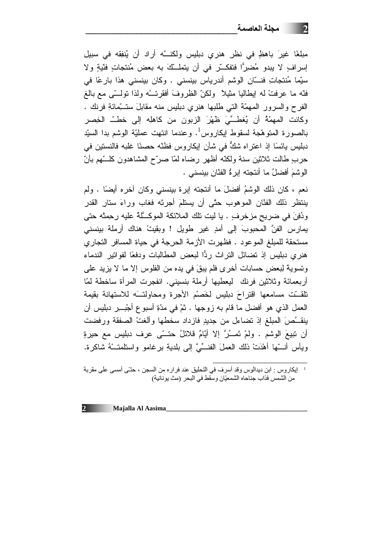مبلغًا غيرَ باهظٍ في نظرٍ هنري دبليس ولكنـــه أراد أن يُنفِقه في سبيل إسرافٍ لا يبدو مُضرِرًّا فتفكَّـرٍ في أن يتملَّـــكَ به بعض مُنتجاتٍ فتَّبةٍ ولا سيِّما مُنتجاتِ فنـــّانِ الوشم أندرياس بينسني . وكان بينسني هذا بارعًا في فنّه ما عرفتْ له إيطاليا مثيلاً ۖ ولكنّ الظروفَ أفقرتـــه ولذا تولـــّي مع بالـغ الفرح والسرور الممهمَّة التي طلبها هنري دبليس منه مقابلَ ستــبَّمائةِ فرنك . وكانت المهمّةُ أن يُغطِّيّ ظَهْرَ الزبون من كاهلِه إلى خطِّ الخِصر بالصورة المتوهَّجة لسقوط إيكاروس<sup>1</sup>. وعندما انتهت عمليّة الوشم بدا السيّد دبليس يائسًا إذ اعتراه شكٌّ في شأن إيكاروس فظنّه حصنًا غلبه فالنستين في حرب ٍطالت ثلاثين سنة ولكنّه أظهر رضاه لمّا صرّح المشاهدون كلّـــتهم بأنّ الوشمَ أفضلُ ما أنتجته إبرةُ الفنّانِ بينسنى .

نعم ، كان ذلك الوشمُ أفضلَ ما أنتجته إبرة بينسني وكان آخره أيضًا . ولم ينتظر ذلك الفدَّان الموهوب حتَّى أن يستلَّمَ أجرتَه فغاب وراءَ ستار القدر ودُفِنَ في ضريحٍ مزخرفٍ . يا ليت نلك الملائكة الموكَّلة عليه رحِمتْه حتى يمارس الفنَّ المحبوبَ إلى أمدٍ غير طويل ! وبقيتْ هناك أرملة بينسنى مستحقة للمبلغ الموعود . فظهرت الأزمة الحرجة في حياة المسافر التجاري هنري دبليس إذ تضائل النراث ردًّا لبعض المطالبات ودفعًا لفواتير الندماء ونسوية لِبعض حسابات أخرى فلم يبقَ في يده من الفلوس إلا ما لا يزيد علي أربعمائة وثلاثين فرنك ليعطيها أرملة بنسيني. انفجرت المرأة ساخطة لمّا تلقَّت مسامعها اقتراحَ دبليس لخَصْم الأجرة ومحاولتَــه للاستهانة بقيمة العمل الذي هو أفضل ما قام به زوجها . ثمّ في مدّةِ أسبوع أجْبـــِر دبليس أن ينقَـــُصَ المبلغ إذ تضاءل من جديدِ فازداد سخطها وألغتْ الصفقة ورفضت أن نتيعَ الوشم . ولمْ نَمــُرَّ إلا أيّامٌ قلائلُ حتـــّى عرف دبليس مع حيرةٍ ويأس أنَّـــها أهْدَتْ ذلك العملَ الفنـــِّيَّ إلى بلديةِ برغامو واستلمتـــْهُ شاكرة.

له إيكاروس : ابن ديدالوس وقد أسرف في التحليق عند فراره من السجن ، حتّى أمسى على مقربة من الشمس فذاب جناحاه الشمعيّان وسقط في البحر (مث يونانية)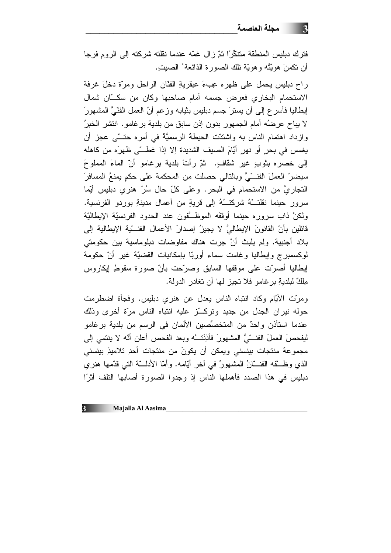## 3 - مجلة العاصمة

فترك دبليس المنطقة متنكِّرًا ثمّ زال غمّه عندما نقلته شركته إلى الروم فرجا أن نكمنَ هويَّتُه وهويَّة نلك الصورة الذائعة ُ الصيتِ.

راح دبليس بحمل على ظهره عِبءَ عبقريةِ الفدَّانِ الراحل ومرَّة دخلَ غرفة الاستحمام البخاري فعرض جسمه أمام صاحبها وكان من سكـّان شمال إيطاليا فأسرع إلى أن يسترَ جسم دبليس بثيابه وزعم أنّ العمل الفنّيَّ المشهورَ لا يباح عرضُه أمام الجمهور بدون إذن سابق من بلدية بر غامو. انتشر الخبرُ وازداد اهتمام الناس به واشتدّت الحبطة الرسميَّة في أمره حتــّي عجز أن يغمس في بحرٍ أو نهرٍ أيَّامَ الصيف الشديدة إلا إذا غطَّـي ظهرَه من كاهله إلى خصره بثوبٍ غيرٍ شقافٍ. ۖ ثمَّ رأتْ بلدية برغاموٍ أنَّ الماءَ المملوحَ سيضرِّ العملَ الفنـــّيَّ وبالنالي حصلت من المحكمة على حكمٍ يمنعُ المسافرَ النجاريَّ من الاستحمام في البحر. وعلى كلِّ حال سُرِّ هنري دبليس أيِّما سرور حينما نقلتـــهُ شركتـــهُ إلى قريةٍ من أعمال مدينةِ بوردو الفرنسية. ولكنْ ذاب سروره حينما أوقفَه الموظَّفون عند الحدود الفرنسيَّة الإيطاليَّة قائلين بأنِّ القانونَ الإيطاليَّ لا يجيزُ إصدارَ الأعمال الفنـــبّـة الإيطالية إلى بلاد أجنبية. ولم يلبث أنْ جرت هناك مفاوضات دبلوماسية بين حكومتي لموكسمبرج وإيطاليا وغامت سماء أوربّا بإمكانيات القضيّة غير أنّ حكومة إيطاليا أصرّت على موقفها السابق وصرّحت بأنّ صورة سقوط إيكاروس مِلْكٌ لبِلدِيةِ بِرِ غاموٍ فلا تَجِبِزِ لَهَا أَن تَغادِرِ الدولةِ.

ومرّت الأيّام وكاد انتباه الناس يعدل عن هنري دبليس. وفجأة اضطرمت حوله نيران الجدل من جديد ونركتز عليه انتباه الناس مرّة أخرى وذلك عندما استأذن واحدٌ من المتخصِّصين الألمان في الرسم من بلدية برغامو ليفحصَ العملَ الفنـــّيَّ المشهورَ فأذِنَتـــه وبعد الفحص أعلن أنّه لا ينتمي إلى مجموعة منتجات بينسنى ويمكن أن يكونَ من منتجات أحدِ تلاميذِ بينسنى الذي وظَّــفه الفنـــّانُ المشهورُ في أخر أيّامه. وأمّا الأدلــــّة النّـي قدّمها هنري دبليس في هذا الصدد فأهملها الناس إذ وجدوا الصورة أصابها التلف أثرًا